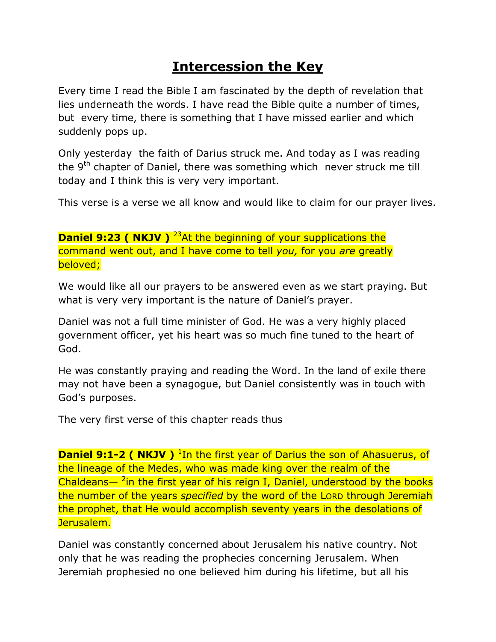## **Intercession the Key**

Every time I read the Bible I am fascinated by the depth of revelation that lies underneath the words. I have read the Bible quite a number of times, but every time, there is something that I have missed earlier and which suddenly pops up.

Only yesterday the faith of Darius struck me. And today as I was reading the 9<sup>th</sup> chapter of Daniel, there was something which never struck me till today and I think this is very very important.

This verse is a verse we all know and would like to claim for our prayer lives.

**Daniel 9:23 ( NKJV )** <sup>23</sup>At the beginning of your supplications the command went out, and I have come to tell *you,* for you *are* greatly beloved;

We would like all our prayers to be answered even as we start praying. But what is very very important is the nature of Daniel's prayer.

Daniel was not a full time minister of God. He was a very highly placed government officer, yet his heart was so much fine tuned to the heart of God.

He was constantly praying and reading the Word. In the land of exile there may not have been a synagogue, but Daniel consistently was in touch with God's purposes.

The very first verse of this chapter reads thus

**Daniel 9:1-2 ( NKJV )** <sup>1</sup>In the first year of Darius the son of Ahasuerus, of the lineage of the Medes, who was made king over the realm of the Chaldeans—  $2$ in the first year of his reign I, Daniel, understood by the books the number of the years *specified* by the word of the LORD through Jeremiah the prophet, that He would accomplish seventy years in the desolations of Jerusalem.

Daniel was constantly concerned about Jerusalem his native country. Not only that he was reading the prophecies concerning Jerusalem. When Jeremiah prophesied no one believed him during his lifetime, but all his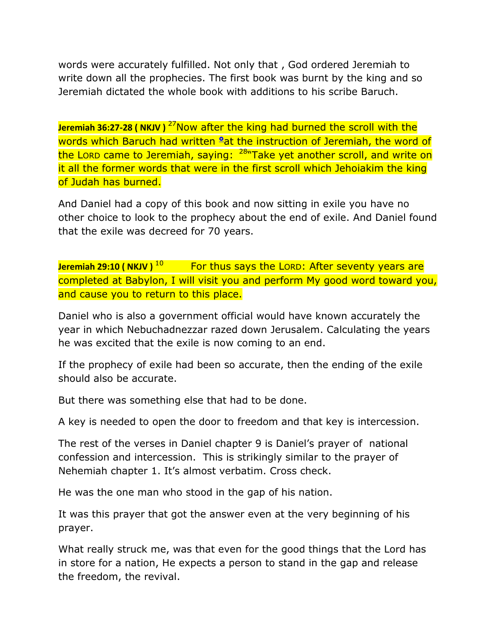words were accurately fulfilled. Not only that , God ordered Jeremiah to write down all the prophecies. The first book was burnt by the king and so Jeremiah dictated the whole book with additions to his scribe Baruch.

Jeremiah 36:27-28 ( NKJV )<sup>27</sup>Now after the king had burned the scroll with the words which Baruch had written <sup>o</sup>at the instruction of Jeremiah, the word of the Lorp came to Jeremiah, saying: <sup>28</sup>"Take yet another scroll, and write on it all the former words that were in the first scroll which Jehoiakim the king of Judah has burned.

And Daniel had a copy of this book and now sitting in exile you have no other choice to look to the prophecy about the end of exile. And Daniel found that the exile was decreed for 70 years.

**Jeremiah 29:10 ( NKJV )** <sup>10</sup> For thus says the LORD: After seventy years are completed at Babylon, I will visit you and perform My good word toward you, and cause you to return to this place.

Daniel who is also a government official would have known accurately the year in which Nebuchadnezzar razed down Jerusalem. Calculating the years he was excited that the exile is now coming to an end.

If the prophecy of exile had been so accurate, then the ending of the exile should also be accurate.

But there was something else that had to be done.

A key is needed to open the door to freedom and that key is intercession.

The rest of the verses in Daniel chapter 9 is Daniel's prayer of national confession and intercession. This is strikingly similar to the prayer of Nehemiah chapter 1. It's almost verbatim. Cross check.

He was the one man who stood in the gap of his nation.

It was this prayer that got the answer even at the very beginning of his prayer.

What really struck me, was that even for the good things that the Lord has in store for a nation, He expects a person to stand in the gap and release the freedom, the revival.